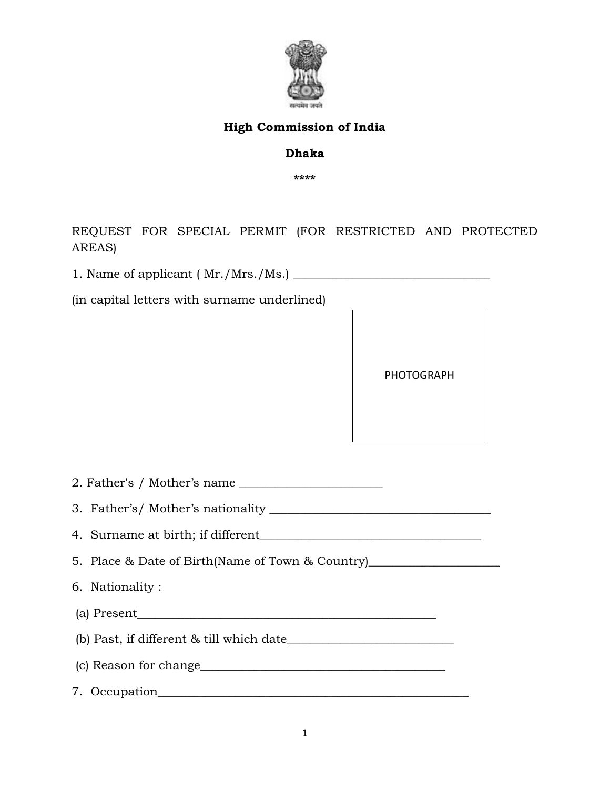

## High Commission of India

## Dhaka

\*\*\*\*

REQUEST FOR SPECIAL PERMIT (FOR RESTRICTED AND PROTECTED AREAS)

1. Name of applicant ( Mr./Mrs./Ms.) \_\_\_\_\_\_\_\_\_\_\_\_\_\_\_\_\_\_\_\_\_\_\_\_\_\_\_\_\_\_\_\_\_

(in capital letters with surname underlined)



2. Father's / Mother's name \_\_\_\_\_\_\_\_\_\_\_\_\_\_\_\_\_\_\_\_\_\_\_\_

3. Father's/ Mother's nationality \_\_\_\_\_\_\_\_\_\_\_\_\_\_\_\_\_\_\_\_\_\_\_\_\_\_\_\_\_\_\_\_\_\_\_\_\_

4. Surname at birth; if different\_\_\_\_\_\_\_\_\_\_\_\_\_\_\_\_\_\_\_\_\_\_\_\_\_\_\_\_\_\_\_\_\_\_\_\_\_

5. Place & Date of Birth(Name of Town & Country)\_\_\_\_\_\_\_\_\_\_\_\_\_\_\_\_\_\_\_\_\_\_\_\_\_\_\_\_\_\_\_\_

6. Nationality :

(a) Present\_\_\_\_\_\_\_\_\_\_\_\_\_\_\_\_\_\_\_\_\_\_\_\_\_\_\_\_\_\_\_\_\_\_\_\_\_\_\_\_\_\_\_\_\_\_\_\_\_\_

(b) Past, if different & till which date\_\_\_\_\_\_\_\_\_\_\_\_\_\_\_\_\_\_\_\_\_\_\_\_\_\_\_\_

(c) Reason for change\_\_\_\_\_\_\_\_\_\_\_\_\_\_\_\_\_\_\_\_\_\_\_\_\_\_\_\_\_\_\_\_\_\_\_\_\_\_\_\_\_

7. Occupation\_\_\_\_\_\_\_\_\_\_\_\_\_\_\_\_\_\_\_\_\_\_\_\_\_\_\_\_\_\_\_\_\_\_\_\_\_\_\_\_\_\_\_\_\_\_\_\_\_\_\_\_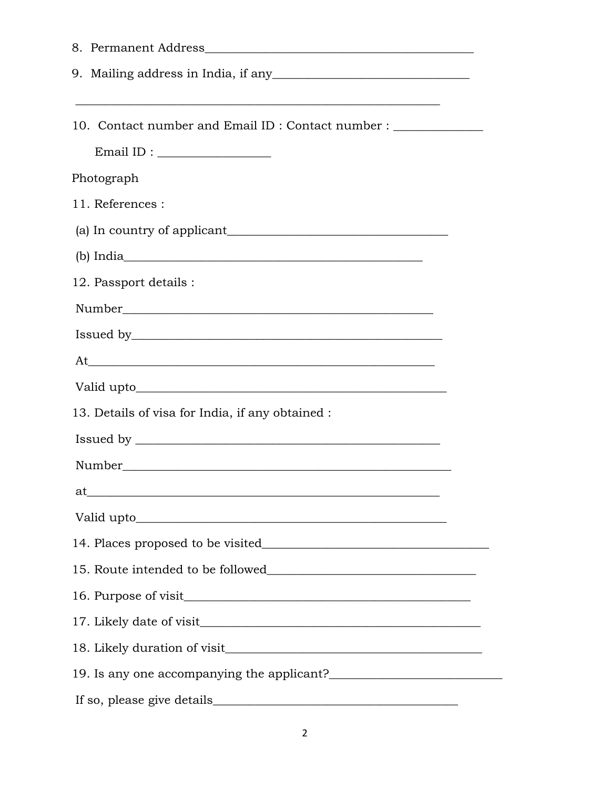| <u> 1989 - Johann Barn, mars and deur de Barn, mars and deur de Barn, mars and deur de Barn, mars and deur de Ba</u> |
|----------------------------------------------------------------------------------------------------------------------|
| 10. Contact number and Email ID: Contact number : _____________                                                      |
| $Email ID: \begin{tabular}{ c c c } \hline \multicolumn{3}{ c }{\textbf{Email ID:}} \end{tabular}$                   |
| Photograph                                                                                                           |
| 11. References :                                                                                                     |
|                                                                                                                      |
|                                                                                                                      |
| 12. Passport details :                                                                                               |
|                                                                                                                      |
|                                                                                                                      |
| At                                                                                                                   |
|                                                                                                                      |
| 13. Details of visa for India, if any obtained :                                                                     |
|                                                                                                                      |
|                                                                                                                      |
| at                                                                                                                   |
|                                                                                                                      |
|                                                                                                                      |
|                                                                                                                      |
|                                                                                                                      |
|                                                                                                                      |
|                                                                                                                      |
|                                                                                                                      |
|                                                                                                                      |